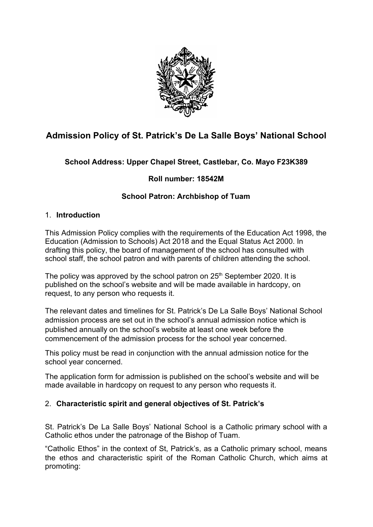

# **Admission Policy of St. Patrick's De La Salle Boys' National School**

## **School Address: Upper Chapel Street, Castlebar, Co. Mayo F23K389**

## **Roll number: 18542M**

## **School Patron: Archbishop of Tuam**

#### 1. **Introduction**

This Admission Policy complies with the requirements of the Education Act 1998, the Education (Admission to Schools) Act 2018 and the Equal Status Act 2000. In drafting this policy, the board of management of the school has consulted with school staff, the school patron and with parents of children attending the school.

The policy was approved by the school patron on  $25<sup>th</sup>$  September 2020. It is published on the school's website and will be made available in hardcopy, on request, to any person who requests it.

The relevant dates and timelines for St. Patrick's De La Salle Boys' National School admission process are set out in the school's annual admission notice which is published annually on the school's website at least one week before the commencement of the admission process for the school year concerned.

This policy must be read in conjunction with the annual admission notice for the school year concerned.

The application form for admission is published on the school's website and will be made available in hardcopy on request to any person who requests it.

## 2. **Characteristic spirit and general objectives of St. Patrick's**

St. Patrick's De La Salle Boys' National School is a Catholic primary school with a Catholic ethos under the patronage of the Bishop of Tuam.

"Catholic Ethos" in the context of St, Patrick's, as a Catholic primary school, means the ethos and characteristic spirit of the Roman Catholic Church, which aims at promoting: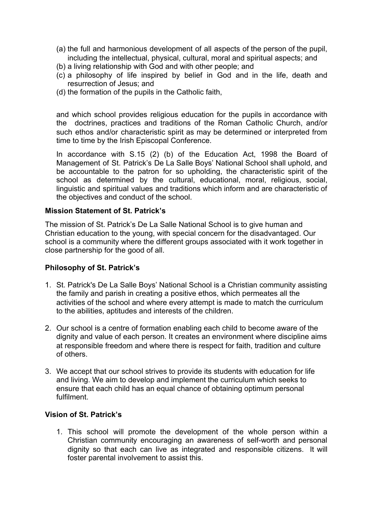- (a) the full and harmonious development of all aspects of the person of the pupil, including the intellectual, physical, cultural, moral and spiritual aspects; and
- (b) a living relationship with God and with other people; and
- (c) a philosophy of life inspired by belief in God and in the life, death and resurrection of Jesus; and
- (d) the formation of the pupils in the Catholic faith,

and which school provides religious education for the pupils in accordance with the doctrines, practices and traditions of the Roman Catholic Church, and/or such ethos and/or characteristic spirit as may be determined or interpreted from time to time by the Irish Episcopal Conference.

In accordance with S.15 (2) (b) of the Education Act, 1998 the Board of Management of St. Patrick's De La Salle Boys' National School shall uphold, and be accountable to the patron for so upholding, the characteristic spirit of the school as determined by the cultural, educational, moral, religious, social, linguistic and spiritual values and traditions which inform and are characteristic of the objectives and conduct of the school.

#### **Mission Statement of St. Patrick's**

The mission of St. Patrick's De La Salle National School is to give human and Christian education to the young, with special concern for the disadvantaged. Our school is a community where the different groups associated with it work together in close partnership for the good of all.

#### **Philosophy of St. Patrick's**

- 1. St. Patrick's De La Salle Boys' National School is a Christian community assisting the family and parish in creating a positive ethos, which permeates all the activities of the school and where every attempt is made to match the curriculum to the abilities, aptitudes and interests of the children.
- 2. Our school is a centre of formation enabling each child to become aware of the dignity and value of each person. It creates an environment where discipline aims at responsible freedom and where there is respect for faith, tradition and culture of others.
- 3. We accept that our school strives to provide its students with education for life and living. We aim to develop and implement the curriculum which seeks to ensure that each child has an equal chance of obtaining optimum personal fulfilment.

#### **Vision of St. Patrick's**

1. This school will promote the development of the whole person within a Christian community encouraging an awareness of self-worth and personal dignity so that each can live as integrated and responsible citizens. It will foster parental involvement to assist this.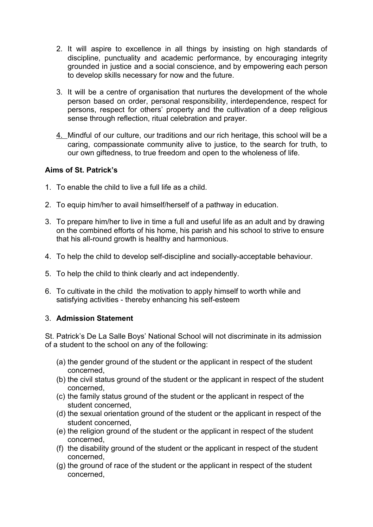- 2. It will aspire to excellence in all things by insisting on high standards of discipline, punctuality and academic performance, by encouraging integrity grounded in justice and a social conscience, and by empowering each person to develop skills necessary for now and the future.
- 3. It will be a centre of organisation that nurtures the development of the whole person based on order, personal responsibility, interdependence, respect for persons, respect for others' property and the cultivation of a deep religious sense through reflection, ritual celebration and prayer.
- 4. Mindful of our culture, our traditions and our rich heritage, this school will be a caring, compassionate community alive to justice, to the search for truth, to our own giftedness, to true freedom and open to the wholeness of life.

#### **Aims of St. Patrick's**

- 1. To enable the child to live a full life as a child.
- 2. To equip him/her to avail himself/herself of a pathway in education.
- 3. To prepare him/her to live in time a full and useful life as an adult and by drawing on the combined efforts of his home, his parish and his school to strive to ensure that his all-round growth is healthy and harmonious.
- 4. To help the child to develop self-discipline and socially-acceptable behaviour.
- 5. To help the child to think clearly and act independently.
- 6. To cultivate in the child the motivation to apply himself to worth while and satisfying activities - thereby enhancing his self-esteem

## 3. **Admission Statement**

St. Patrick's De La Salle Boys' National School will not discriminate in its admission of a student to the school on any of the following:

- (a) the gender ground of the student or the applicant in respect of the student concerned,
- (b) the civil status ground of the student or the applicant in respect of the student concerned,
- (c) the family status ground of the student or the applicant in respect of the student concerned,
- (d) the sexual orientation ground of the student or the applicant in respect of the student concerned,
- (e) the religion ground of the student or the applicant in respect of the student concerned,
- (f) the disability ground of the student or the applicant in respect of the student concerned,
- (g) the ground of race of the student or the applicant in respect of the student concerned,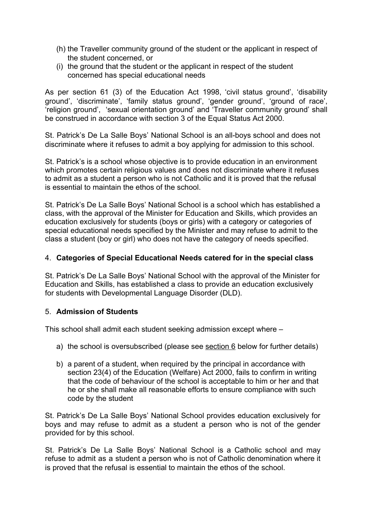- (h) the Traveller community ground of the student or the applicant in respect of the student concerned, or
- (i) the ground that the student or the applicant in respect of the student concerned has special educational needs

As per section 61 (3) of the Education Act 1998, 'civil status ground', 'disability ground', 'discriminate', 'family status ground', 'gender ground', 'ground of race', 'religion ground', 'sexual orientation ground' and 'Traveller community ground' shall be construed in accordance with section 3 of the Equal Status Act 2000.

St. Patrick's De La Salle Boys' National School is an all-boys school and does not discriminate where it refuses to admit a boy applying for admission to this school.

St. Patrick's is a school whose objective is to provide education in an environment which promotes certain religious values and does not discriminate where it refuses to admit as a student a person who is not Catholic and it is proved that the refusal is essential to maintain the ethos of the school.

St. Patrick's De La Salle Boys' National School is a school which has established a class, with the approval of the Minister for Education and Skills, which provides an education exclusively for students (boys or girls) with a category or categories of special educational needs specified by the Minister and may refuse to admit to the class a student (boy or girl) who does not have the category of needs specified.

#### 4. **Categories of Special Educational Needs catered for in the special class**

St. Patrick's De La Salle Boys' National School with the approval of the Minister for Education and Skills, has established a class to provide an education exclusively for students with Developmental Language Disorder (DLD).

## 5. **Admission of Students**

This school shall admit each student seeking admission except where –

- a) the school is oversubscribed (please see [section 6](#page-4-0) below for further details)
- b) a parent of a student, when required by the principal in accordance with section 23(4) of the Education (Welfare) Act 2000, fails to confirm in writing that the code of behaviour of the school is acceptable to him or her and that he or she shall make all reasonable efforts to ensure compliance with such code by the student

St. Patrick's De La Salle Boys' National School provides education exclusively for boys and may refuse to admit as a student a person who is not of the gender provided for by this school.

St. Patrick's De La Salle Boys' National School is a Catholic school and may refuse to admit as a student a person who is not of Catholic denomination where it is proved that the refusal is essential to maintain the ethos of the school.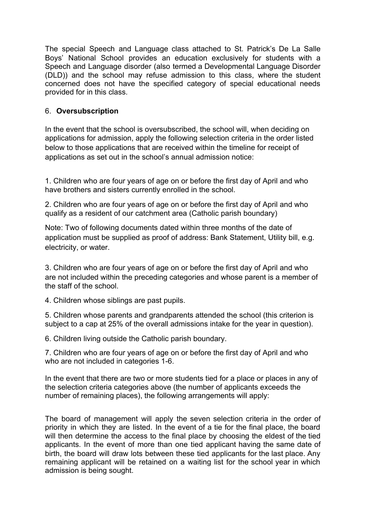The special Speech and Language class attached to St. Patrick's De La Salle Boys' National School provides an education exclusively for students with a Speech and Language disorder (also termed a Developmental Language Disorder (DLD)) and the school may refuse admission to this class, where the student concerned does not have the specified category of special educational needs provided for in this class.

## <span id="page-4-0"></span>6. **Oversubscription**

In the event that the school is oversubscribed, the school will, when deciding on applications for admission, apply the following selection criteria in the order listed below to those applications that are received within the timeline for receipt of applications as set out in the school's annual admission notice:

1. Children who are four years of age on or before the first day of April and who have brothers and sisters currently enrolled in the school.

2. Children who are four years of age on or before the first day of April and who qualify as a resident of our catchment area (Catholic parish boundary)

Note: Two of following documents dated within three months of the date of application must be supplied as proof of address: Bank Statement, Utility bill, e.g. electricity, or water.

3. Children who are four years of age on or before the first day of April and who are not included within the preceding categories and whose parent is a member of the staff of the school.

4. Children whose siblings are past pupils.

5. Children whose parents and grandparents attended the school (this criterion is subject to a cap at 25% of the overall admissions intake for the year in question).

6. Children living outside the Catholic parish boundary.

7. Children who are four years of age on or before the first day of April and who who are not included in categories 1-6.

In the event that there are two or more students tied for a place or places in any of the selection criteria categories above (the number of applicants exceeds the number of remaining places), the following arrangements will apply:

The board of management will apply the seven selection criteria in the order of priority in which they are listed. In the event of a tie for the final place, the board will then determine the access to the final place by choosing the eldest of the tied applicants. In the event of more than one tied applicant having the same date of birth, the board will draw lots between these tied applicants for the last place. Any remaining applicant will be retained on a waiting list for the school year in which admission is being sought.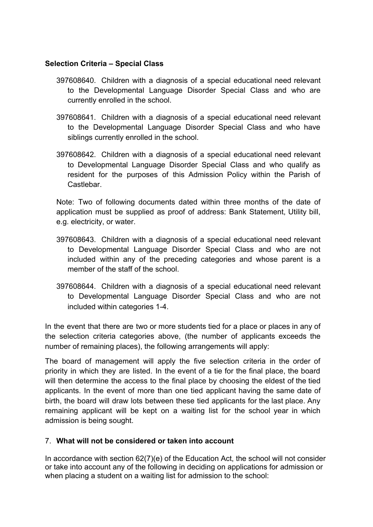#### **Selection Criteria – Special Class**

- 397608640. Children with a diagnosis of a special educational need relevant to the Developmental Language Disorder Special Class and who are currently enrolled in the school.
- 397608641. Children with a diagnosis of a special educational need relevant to the Developmental Language Disorder Special Class and who have siblings currently enrolled in the school.
- 397608642. Children with a diagnosis of a special educational need relevant to Developmental Language Disorder Special Class and who qualify as resident for the purposes of this Admission Policy within the Parish of Castlebar.

Note: Two of following documents dated within three months of the date of application must be supplied as proof of address: Bank Statement, Utility bill, e.g. electricity, or water.

- 397608643. Children with a diagnosis of a special educational need relevant to Developmental Language Disorder Special Class and who are not included within any of the preceding categories and whose parent is a member of the staff of the school.
- 397608644. Children with a diagnosis of a special educational need relevant to Developmental Language Disorder Special Class and who are not included within categories 1-4.

In the event that there are two or more students tied for a place or places in any of the selection criteria categories above, (the number of applicants exceeds the number of remaining places), the following arrangements will apply:

The board of management will apply the five selection criteria in the order of priority in which they are listed. In the event of a tie for the final place, the board will then determine the access to the final place by choosing the eldest of the tied applicants. In the event of more than one tied applicant having the same date of birth, the board will draw lots between these tied applicants for the last place. Any remaining applicant will be kept on a waiting list for the school year in which admission is being sought.

#### 7. **What will not be considered or taken into account**

In accordance with section 62(7)(e) of the Education Act, the school will not consider or take into account any of the following in deciding on applications for admission or when placing a student on a waiting list for admission to the school: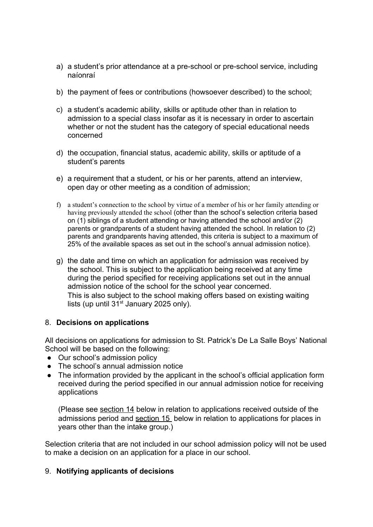- a) a student's prior attendance at a pre-school or pre-school service, including naíonraí
- b) the payment of fees or contributions (howsoever described) to the school;
- c) a student's academic ability, skills or aptitude other than in relation to admission to a special class insofar as it is necessary in order to ascertain whether or not the student has the category of special educational needs concerned
- d) the occupation, financial status, academic ability, skills or aptitude of a student's parents
- e) a requirement that a student, or his or her parents, attend an interview, open day or other meeting as a condition of admission;
- f) a student's connection to the school by virtue of a member of his or her family attending or having previously attended the school (other than the school's selection criteria based on (1) siblings of a student attending or having attended the school and/or (2) parents or grandparents of a student having attended the school. In relation to (2) parents and grandparents having attended, this criteria is subject to a maximum of 25% of the available spaces as set out in the school's annual admission notice).
- g) the date and time on which an application for admission was received by the school. This is subject to the application being received at any time during the period specified for receiving applications set out in the annual admission notice of the school for the school year concerned. This is also subject to the school making offers based on existing waiting lists (up until 31<sup>st</sup> January 2025 only).

#### 8. **Decisions on applications**

All decisions on applications for admission to St. Patrick's De La Salle Boys' National School will be based on the following:

- Our school's admission policy
- The school's annual admission notice
- The information provided by the applicant in the school's official application form received during the period specified in our annual admission notice for receiving applications

(Please see [section 14](#page-8-0) below in relation to applications received outside of the admissions period and [section 15](#page-9-0) below in relation to applications for places in years other than the intake group.)

Selection criteria that are not included in our school admission policy will not be used to make a decision on an application for a place in our school.

#### 9. **Notifying applicants of decisions**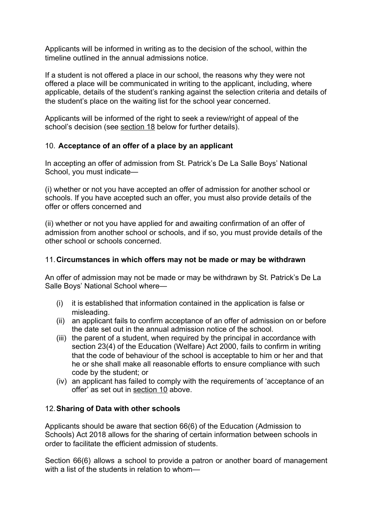Applicants will be informed in writing as to the decision of the school, within the timeline outlined in the annual admissions notice.

If a student is not offered a place in our school, the reasons why they were not offered a place will be communicated in writing to the applicant, including, where applicable, details of the student's ranking against the selection criteria and details of the student's place on the waiting list for the school year concerned.

Applicants will be informed of the right to seek a review/right of appeal of the school's decision (see [section 18](#page-10-0) below for further details).

## <span id="page-7-0"></span>10. **Acceptance of an offer of a place by an applicant**

In accepting an offer of admission from St. Patrick's De La Salle Boys' National School, you must indicate—

(i) whether or not you have accepted an offer of admission for another school or schools. If you have accepted such an offer, you must also provide details of the offer or offers concerned and

(ii) whether or not you have applied for and awaiting confirmation of an offer of admission from another school or schools, and if so, you must provide details of the other school or schools concerned.

#### 11.**Circumstances in which offers may not be made or may be withdrawn**

An offer of admission may not be made or may be withdrawn by St. Patrick's De La Salle Boys' National School where—

- (i) it is established that information contained in the application is false or misleading.
- (ii) an applicant fails to confirm acceptance of an offer of admission on or before the date set out in the annual admission notice of the school.
- (iii) the parent of a student, when required by the principal in accordance with section 23(4) of the Education (Welfare) Act 2000, fails to confirm in writing that the code of behaviour of the school is acceptable to him or her and that he or she shall make all reasonable efforts to ensure compliance with such code by the student; or
- (iv) an applicant has failed to comply with the requirements of 'acceptance of an offer' as set out in [section 10](#page-7-0) above.

## 12.**Sharing of Data with other schools**

Applicants should be aware that section 66(6) of the Education (Admission to Schools) Act 2018 allows for the sharing of certain information between schools in order to facilitate the efficient admission of students.

Section 66(6) allows a school to provide a patron or another board of management with a list of the students in relation to whom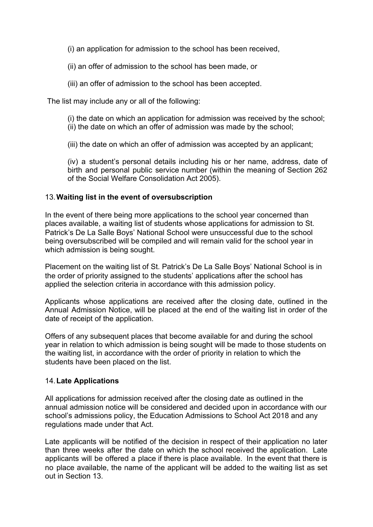(i) an application for admission to the school has been received,

(ii) an offer of admission to the school has been made, or

(iii) an offer of admission to the school has been accepted.

The list may include any or all of the following:

(i) the date on which an application for admission was received by the school; (ii) the date on which an offer of admission was made by the school;

(iii) the date on which an offer of admission was accepted by an applicant;

(iv) a student's personal details including his or her name, address, date of birth and personal public service number (within the meaning of Section 262 of the Social Welfare Consolidation Act 2005).

#### 13.**Waiting list in the event of oversubscription**

In the event of there being more applications to the school year concerned than places available, a waiting list of students whose applications for admission to St. Patrick's De La Salle Boys' National School were unsuccessful due to the school being oversubscribed will be compiled and will remain valid for the school year in which admission is being sought.

Placement on the waiting list of St. Patrick's De La Salle Boys' National School is in the order of priority assigned to the students' applications after the school has applied the selection criteria in accordance with this admission policy.

Applicants whose applications are received after the closing date, outlined in the Annual Admission Notice, will be placed at the end of the waiting list in order of the date of receipt of the application.

Offers of any subsequent places that become available for and during the school year in relation to which admission is being sought will be made to those students on the waiting list, in accordance with the order of priority in relation to which the students have been placed on the list.

#### <span id="page-8-0"></span>14.**Late Applications**

All applications for admission received after the closing date as outlined in the annual admission notice will be considered and decided upon in accordance with our school's admissions policy, the Education Admissions to School Act 2018 and any regulations made under that Act.

Late applicants will be notified of the decision in respect of their application no later than three weeks after the date on which the school received the application. Late applicants will be offered a place if there is place available. In the event that there is no place available, the name of the applicant will be added to the waiting list as set out in Section 13.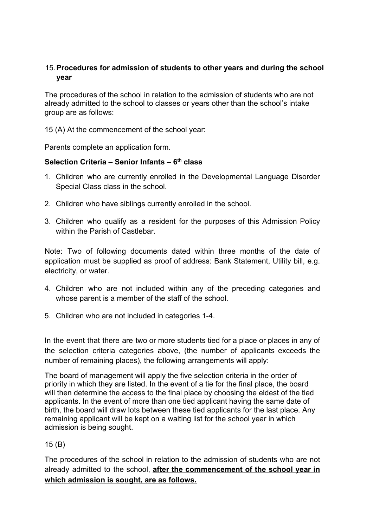## <span id="page-9-0"></span>15.**Procedures for admission of students to other years and during the school year**

The procedures of the school in relation to the admission of students who are not already admitted to the school to classes or years other than the school's intake group are as follows:

15 (A) At the commencement of the school year:

Parents complete an application form.

#### **Selection Criteria – Senior Infants – 6th class**

- 1. Children who are currently enrolled in the Developmental Language Disorder Special Class class in the school.
- 2. Children who have siblings currently enrolled in the school.
- 3. Children who qualify as a resident for the purposes of this Admission Policy within the Parish of Castlebar.

Note: Two of following documents dated within three months of the date of application must be supplied as proof of address: Bank Statement, Utility bill, e.g. electricity, or water.

- 4. Children who are not included within any of the preceding categories and whose parent is a member of the staff of the school.
- 5. Children who are not included in categories 1-4.

In the event that there are two or more students tied for a place or places in any of the selection criteria categories above, (the number of applicants exceeds the number of remaining places), the following arrangements will apply:

The board of management will apply the five selection criteria in the order of priority in which they are listed. In the event of a tie for the final place, the board will then determine the access to the final place by choosing the eldest of the tied applicants. In the event of more than one tied applicant having the same date of birth, the board will draw lots between these tied applicants for the last place. Any remaining applicant will be kept on a waiting list for the school year in which admission is being sought.

## 15 (B)

The procedures of the school in relation to the admission of students who are not already admitted to the school, **after the commencement of the school year in which admission is sought, are as follows.**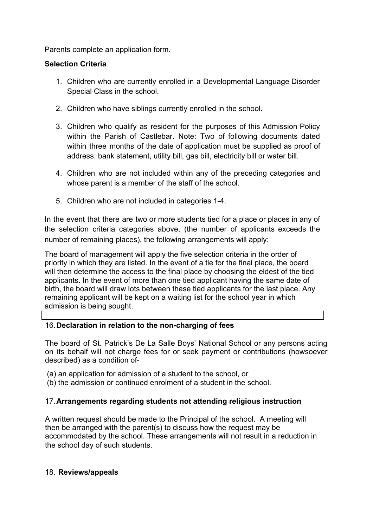Parents complete an application form.

## **Selection Criteria**

- 1. Children who are currently enrolled in a Developmental Language Disorder Special Class in the school.
- 2. Children who have siblings currently enrolled in the school.
- 3. Children who qualify as resident for the purposes of this Admission Policy within the Parish of Castlebar. Note: Two of following documents dated within three months of the date of application must be supplied as proof of address: bank statement, utility bill, gas bill, electricity bill or water bill.
- 4. Children who are not included within any of the preceding categories and whose parent is a member of the staff of the school.
- 5. Children who are not included in categories 1-4.

In the event that there are two or more students tied for a place or places in any of the selection criteria categories above, (the number of applicants exceeds the number of remaining places), the following arrangements will apply:

The board of management will apply the five selection criteria in the order of priority in which they are listed. In the event of a tie for the final place, the board will then determine the access to the final place by choosing the eldest of the tied applicants. In the event of more than one tied applicant having the same date of birth, the board will draw lots between these tied applicants for the last place. Any remaining applicant will be kept on a waiting list for the school year in which admission is being sought.

## 16.**Declaration in relation to the non-charging of fees**

The board of St. Patrick's De La Salle Boys' National School or any persons acting on its behalf will not charge fees for or seek payment or contributions (howsoever described) as a condition of-

- (a) an application for admission of a student to the school, or
- (b) the admission or continued enrolment of a student in the school.

## 17.**Arrangements regarding students not attending religious instruction**

A written request should be made to the Principal of the school. A meeting will then be arranged with the parent(s) to discuss how the request may be accommodated by the school. These arrangements will not result in a reduction in the school day of such students.

#### <span id="page-10-0"></span>18. **Reviews/appeals**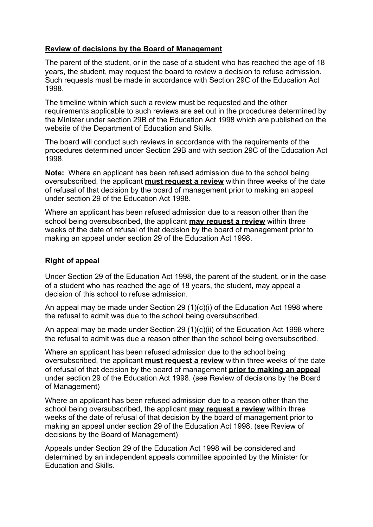#### **Review of decisions by the Board of Management**

The parent of the student, or in the case of a student who has reached the age of 18 years, the student, may request the board to review a decision to refuse admission. Such requests must be made in accordance with Section 29C of the Education Act 1998.

The timeline within which such a review must be requested and the other requirements applicable to such reviews are set out in the procedures determined by the Minister under section 29B of the Education Act 1998 which are published on the website of the Department of Education and Skills.

The board will conduct such reviews in accordance with the requirements of the procedures determined under Section 29B and with section 29C of the Education Act 1998.

**Note:** Where an applicant has been refused admission due to the school being oversubscribed, the applicant **must request a review** within three weeks of the date of refusal of that decision by the board of management prior to making an appeal under section 29 of the Education Act 1998.

Where an applicant has been refused admission due to a reason other than the school being oversubscribed, the applicant **may request a review** within three weeks of the date of refusal of that decision by the board of management prior to making an appeal under section 29 of the Education Act 1998.

#### **Right of appeal**

Under Section 29 of the Education Act 1998, the parent of the student, or in the case of a student who has reached the age of 18 years, the student, may appeal a decision of this school to refuse admission.

An appeal may be made under Section 29 (1)(c)(i) of the Education Act 1998 where the refusal to admit was due to the school being oversubscribed.

An appeal may be made under Section 29 (1)(c)(ii) of the Education Act 1998 where the refusal to admit was due a reason other than the school being oversubscribed.

Where an applicant has been refused admission due to the school being oversubscribed, the applicant **must request a review** within three weeks of the date of refusal of that decision by the board of management **prior to making an appeal** under section 29 of the Education Act 1998. (see Review of decisions by the Board of Management)

Where an applicant has been refused admission due to a reason other than the school being oversubscribed, the applicant **may request a review** within three weeks of the date of refusal of that decision by the board of management prior to making an appeal under section 29 of the Education Act 1998. (see Review of decisions by the Board of Management)

Appeals under Section 29 of the Education Act 1998 will be considered and determined by an independent appeals committee appointed by the Minister for Education and Skills.